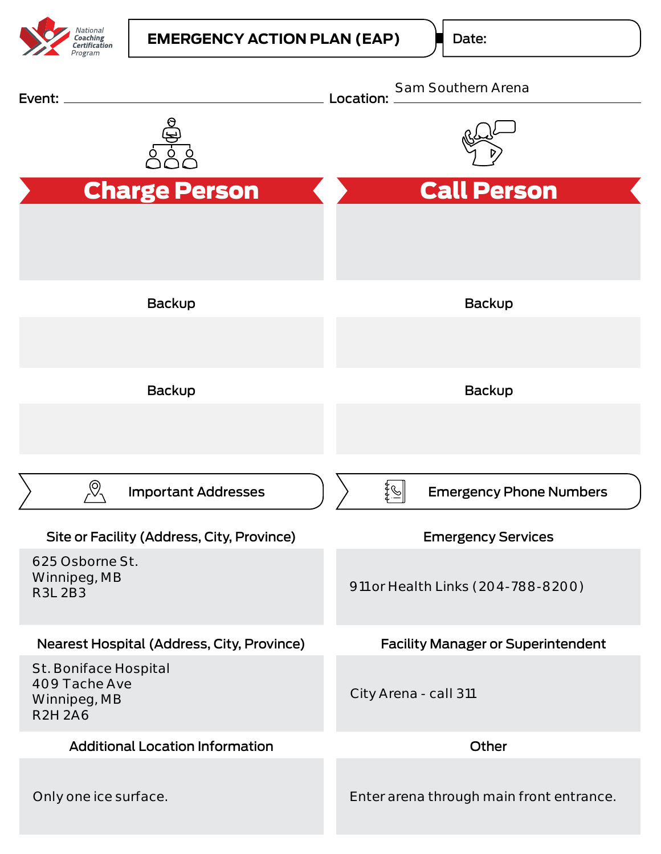

Date:

| Event:                                                                   | Sam Southern Arena<br>Location:           |
|--------------------------------------------------------------------------|-------------------------------------------|
|                                                                          |                                           |
| <b>Charge Person</b>                                                     | <b>Call Person</b>                        |
|                                                                          |                                           |
| Backup                                                                   | Backup                                    |
| Backup                                                                   | Backup                                    |
|                                                                          |                                           |
| (O)<br><b>Important Addresses</b>                                        | <b>Emergency Phone Numbers</b>            |
| Site or Facility (Address, City, Province)                               | <b>Emergency Services</b>                 |
| 625 Osborne St.<br>Winnipeg, MB<br><b>R3L 2B3</b>                        | 911 or Health Links (204-788-8200)        |
| Nearest Hospital (Address, City, Province)                               | <b>Facility Manager or Superintendent</b> |
| St. Boniface Hospital<br>409 Tache Ave<br>Winnipeg, MB<br><b>R2H 2A6</b> | City Arena - call 311                     |
| <b>Additional Location Information</b>                                   | Other                                     |
| Only one ice surface.                                                    | Enter arena through main front entrance.  |